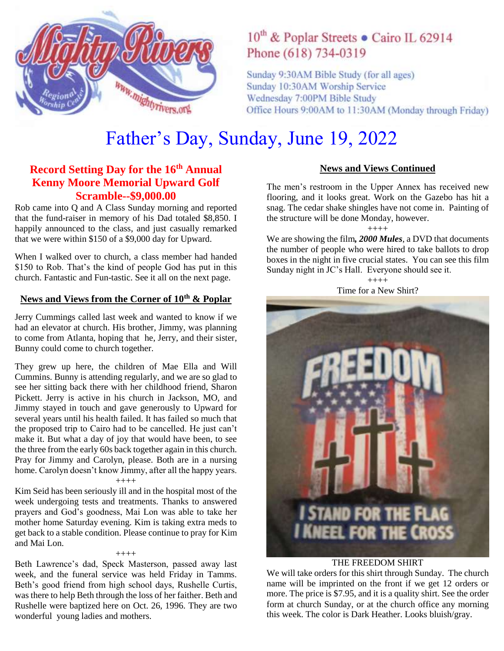

## 10<sup>th</sup> & Poplar Streets • Cairo IL 62914 Phone (618) 734-0319

Sunday 9:30AM Bible Study (for all ages) Sunday 10:30AM Worship Service Wednesday 7:00PM Bible Study Office Hours 9:00AM to 11:30AM (Monday through Friday)

# Father's Day, Sunday, June 19, 2022

## **Record Setting Day for the 16th Annual Kenny Moore Memorial Upward Golf Scramble--\$9,000.00**

Rob came into Q and A Class Sunday morning and reported that the fund-raiser in memory of his Dad totaled \$8,850. I happily announced to the class, and just casually remarked that we were within \$150 of a \$9,000 day for Upward.

When I walked over to church, a class member had handed \$150 to Rob. That's the kind of people God has put in this church. Fantastic and Fun-tastic. See it all on the next page.

## **News and Views from the Corner of 10th & Poplar**

Jerry Cummings called last week and wanted to know if we had an elevator at church. His brother, Jimmy, was planning to come from Atlanta, hoping that he, Jerry, and their sister, Bunny could come to church together.

They grew up here, the children of Mae Ella and Will Cummins. Bunny is attending regularly, and we are so glad to see her sitting back there with her childhood friend, Sharon Pickett. Jerry is active in his church in Jackson, MO, and Jimmy stayed in touch and gave generously to Upward for several years until his health failed. It has failed so much that the proposed trip to Cairo had to be cancelled. He just can't make it. But what a day of joy that would have been, to see the three from the early 60s back together again in this church. Pray for Jimmy and Carolyn, please. Both are in a nursing home. Carolyn doesn't know Jimmy, after all the happy years.

#### ++++

Kim Seid has been seriously ill and in the hospital most of the week undergoing tests and treatments. Thanks to answered prayers and God's goodness, Mai Lon was able to take her mother home Saturday evening. Kim is taking extra meds to get back to a stable condition. Please continue to pray for Kim and Mai Lon.

++++

Beth Lawrence's dad, Speck Masterson, passed away last week, and the funeral service was held Friday in Tamms. Beth's good friend from high school days, Rushelle Curtis, was there to help Beth through the loss of her faither. Beth and Rushelle were baptized here on Oct. 26, 1996. They are two wonderful young ladies and mothers.

#### **News and Views Continued**

The men's restroom in the Upper Annex has received new flooring, and it looks great. Work on the Gazebo has hit a snag. The cedar shake shingles have not come in. Painting of the structure will be done Monday, however.

#### ++++

We are showing the film*, 2000 Mules*, a DVD that documents the number of people who were hired to take ballots to drop boxes in the night in five crucial states. You can see this film Sunday night in JC's Hall. Everyone should see it.

> $++++$ Time for a New Shirt?



#### THE FREEDOM SHIRT

We will take orders for this shirt through Sunday. The church name will be imprinted on the front if we get 12 orders or more. The price is \$7.95, and it is a quality shirt. See the order form at church Sunday, or at the church office any morning this week. The color is Dark Heather. Looks bluish/gray.